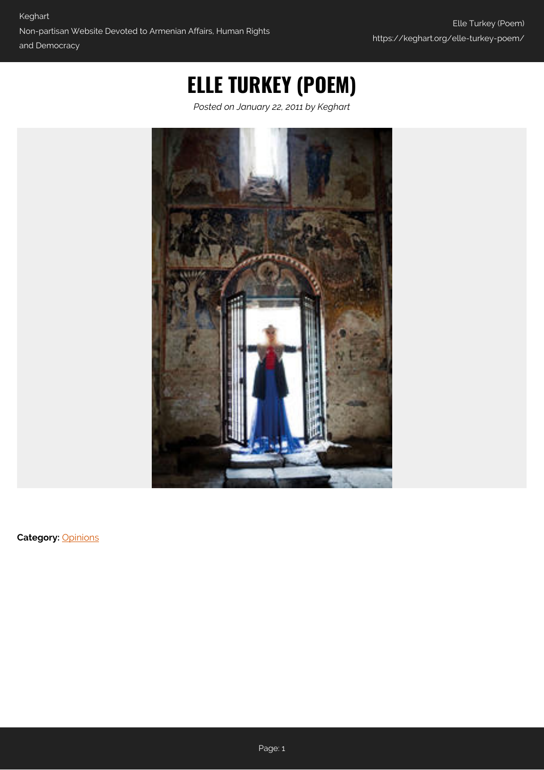# **ELLE TURKEY (POEM)**

*Posted on January 22, 2011 by Keghart*



**Category:** [Opinions](https://keghart.org/category/opinions/)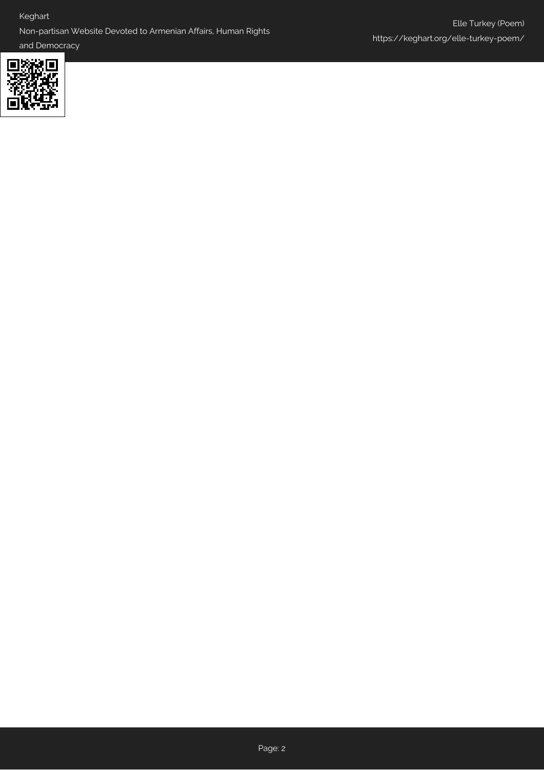## Non-partisan Website Devoted to Armenian Affairs, Human Rights

and Democracy

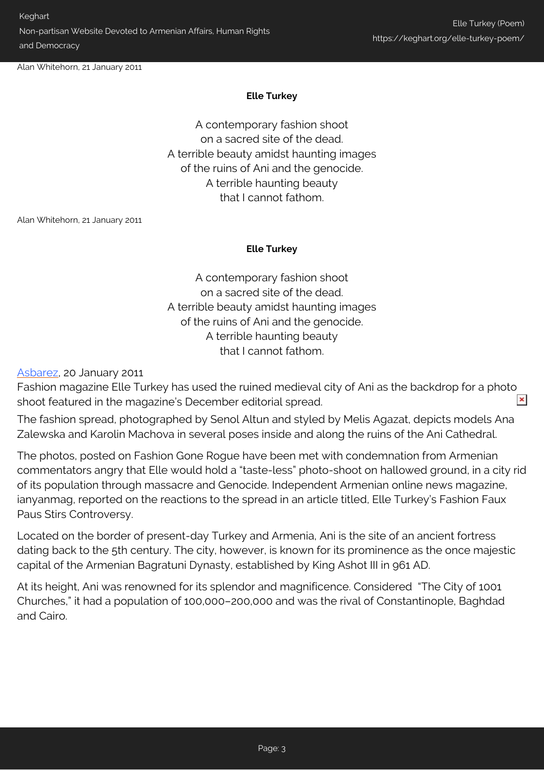Alan Whitehorn, 21 January 2011

#### **Elle Turkey**

A contemporary fashion shoot on a sacred site of the dead. A terrible beauty amidst haunting images of the ruins of Ani and the genocide. A terrible haunting beauty that I cannot fathom.

Alan Whitehorn, 21 January 2011

#### **Elle Turkey**

A contemporary fashion shoot on a sacred site of the dead. A terrible beauty amidst haunting images of the ruins of Ani and the genocide. A terrible haunting beauty that I cannot fathom.

### [Asbarez,](http://asbarez.com/92104/ruins-of-ani-reduced-to-photo-backdrop-in-elle-magazine/) 20 January 2011

Fashion magazine Elle Turkey has used the ruined medieval city of Ani as the backdrop for a photo  $\pmb{\times}$ shoot featured in the magazine's December editorial spread.

The fashion spread, photographed by Senol Altun and styled by Melis Agazat, depicts models Ana Zalewska and Karolin Machova in several poses inside and along the ruins of the Ani Cathedral.

The photos, posted on Fashion Gone Rogue have been met with condemnation from Armenian commentators angry that Elle would hold a "taste-less" photo-shoot on hallowed ground, in a city rid of its population through massacre and Genocide. Independent Armenian online news magazine, ianyanmag, reported on the reactions to the spread in an article titled, Elle Turkey's Fashion Faux Paus Stirs Controversy.

Located on the border of present-day Turkey and Armenia, Ani is the site of an ancient fortress dating back to the 5th century. The city, however, is known for its prominence as the once majestic capital of the Armenian Bagratuni Dynasty, established by King Ashot III in 961 AD.

At its height, Ani was renowned for its splendor and magnificence. Considered "The City of 1001 Churches," it had a population of 100,000–200,000 and was the rival of Constantinople, Baghdad and Cairo.